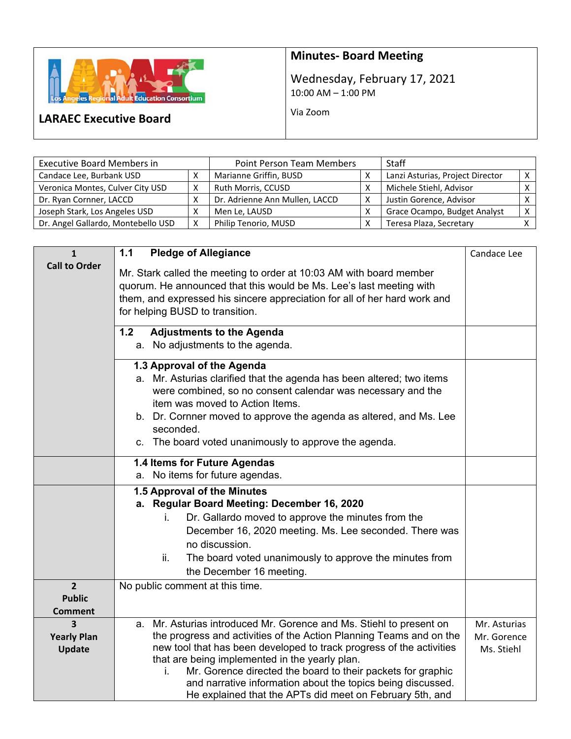

## **Minutes‐ Board Meeting**

Wednesday, February 17, 2021 10:00 AM – 1:00 PM

Via Zoom

## **LARAEC Executive Board**

| <b>Executive Board Members in</b>  | <b>Point Person Team Members</b> |                                | <b>Staff</b> |                                  |  |
|------------------------------------|----------------------------------|--------------------------------|--------------|----------------------------------|--|
| Candace Lee, Burbank USD           |                                  | Marianne Griffin, BUSD         |              | Lanzi Asturias, Project Director |  |
| Veronica Montes, Culver City USD   |                                  | Ruth Morris, CCUSD             |              | Michele Stiehl, Advisor          |  |
| Dr. Ryan Cornner, LACCD            |                                  | Dr. Adrienne Ann Mullen, LACCD |              | Justin Gorence, Advisor          |  |
| Joseph Stark, Los Angeles USD      |                                  | Men Le, LAUSD                  |              | Grace Ocampo, Budget Analyst     |  |
| Dr. Angel Gallardo, Montebello USD | X                                | Philip Tenorio, MUSD           |              | Teresa Plaza, Secretary          |  |

| $\mathbf{1}$                      | $1.1$<br><b>Pledge of Allegiance</b>                                                                                                                                                                                                                                                                                                                                                                                                                                 | Candace Lee                               |
|-----------------------------------|----------------------------------------------------------------------------------------------------------------------------------------------------------------------------------------------------------------------------------------------------------------------------------------------------------------------------------------------------------------------------------------------------------------------------------------------------------------------|-------------------------------------------|
| <b>Call to Order</b>              | Mr. Stark called the meeting to order at 10:03 AM with board member<br>quorum. He announced that this would be Ms. Lee's last meeting with<br>them, and expressed his sincere appreciation for all of her hard work and<br>for helping BUSD to transition.                                                                                                                                                                                                           |                                           |
|                                   | 1.2<br><b>Adjustments to the Agenda</b><br>a. No adjustments to the agenda.                                                                                                                                                                                                                                                                                                                                                                                          |                                           |
|                                   | 1.3 Approval of the Agenda<br>a. Mr. Asturias clarified that the agenda has been altered; two items<br>were combined, so no consent calendar was necessary and the<br>item was moved to Action Items.<br>b. Dr. Cornner moved to approve the agenda as altered, and Ms. Lee<br>seconded.<br>c. The board voted unanimously to approve the agenda.                                                                                                                    |                                           |
|                                   | 1.4 Items for Future Agendas<br>a. No items for future agendas.                                                                                                                                                                                                                                                                                                                                                                                                      |                                           |
|                                   | 1.5 Approval of the Minutes                                                                                                                                                                                                                                                                                                                                                                                                                                          |                                           |
|                                   | a. Regular Board Meeting: December 16, 2020                                                                                                                                                                                                                                                                                                                                                                                                                          |                                           |
|                                   | Dr. Gallardo moved to approve the minutes from the<br>İ.                                                                                                                                                                                                                                                                                                                                                                                                             |                                           |
|                                   | December 16, 2020 meeting. Ms. Lee seconded. There was                                                                                                                                                                                                                                                                                                                                                                                                               |                                           |
|                                   | no discussion.                                                                                                                                                                                                                                                                                                                                                                                                                                                       |                                           |
|                                   | ii.<br>The board voted unanimously to approve the minutes from<br>the December 16 meeting.                                                                                                                                                                                                                                                                                                                                                                           |                                           |
| $2^{1}$                           | No public comment at this time.                                                                                                                                                                                                                                                                                                                                                                                                                                      |                                           |
| <b>Public</b>                     |                                                                                                                                                                                                                                                                                                                                                                                                                                                                      |                                           |
| <b>Comment</b>                    |                                                                                                                                                                                                                                                                                                                                                                                                                                                                      |                                           |
| 3<br><b>Yearly Plan</b><br>Update | a. Mr. Asturias introduced Mr. Gorence and Ms. Stiehl to present on<br>the progress and activities of the Action Planning Teams and on the<br>new tool that has been developed to track progress of the activities<br>that are being implemented in the yearly plan.<br>Mr. Gorence directed the board to their packets for graphic<br>i.<br>and narrative information about the topics being discussed.<br>He explained that the APTs did meet on February 5th, and | Mr. Asturias<br>Mr. Gorence<br>Ms. Stiehl |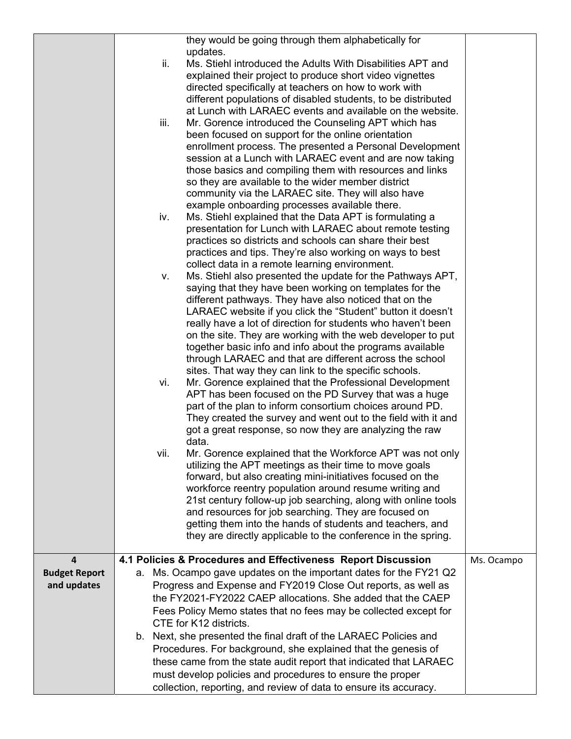|                                     |    | ii.                                                                                                                                                                                                                                                                                                                                       | they would be going through them alphabetically for<br>updates.<br>Ms. Stiehl introduced the Adults With Disabilities APT and                                                                                                                                                                                                                                                                                                                                                                               |            |
|-------------------------------------|----|-------------------------------------------------------------------------------------------------------------------------------------------------------------------------------------------------------------------------------------------------------------------------------------------------------------------------------------------|-------------------------------------------------------------------------------------------------------------------------------------------------------------------------------------------------------------------------------------------------------------------------------------------------------------------------------------------------------------------------------------------------------------------------------------------------------------------------------------------------------------|------------|
|                                     |    |                                                                                                                                                                                                                                                                                                                                           | explained their project to produce short video vignettes<br>directed specifically at teachers on how to work with<br>different populations of disabled students, to be distributed                                                                                                                                                                                                                                                                                                                          |            |
|                                     |    | iii.                                                                                                                                                                                                                                                                                                                                      | at Lunch with LARAEC events and available on the website.<br>Mr. Gorence introduced the Counseling APT which has                                                                                                                                                                                                                                                                                                                                                                                            |            |
|                                     |    |                                                                                                                                                                                                                                                                                                                                           | been focused on support for the online orientation<br>enrollment process. The presented a Personal Development<br>session at a Lunch with LARAEC event and are now taking<br>those basics and compiling them with resources and links<br>so they are available to the wider member district                                                                                                                                                                                                                 |            |
|                                     |    |                                                                                                                                                                                                                                                                                                                                           | community via the LARAEC site. They will also have<br>example onboarding processes available there.                                                                                                                                                                                                                                                                                                                                                                                                         |            |
|                                     |    | iv.                                                                                                                                                                                                                                                                                                                                       | Ms. Stiehl explained that the Data APT is formulating a<br>presentation for Lunch with LARAEC about remote testing<br>practices so districts and schools can share their best<br>practices and tips. They're also working on ways to best                                                                                                                                                                                                                                                                   |            |
|                                     |    | v.                                                                                                                                                                                                                                                                                                                                        | collect data in a remote learning environment.<br>Ms. Stiehl also presented the update for the Pathways APT,<br>saying that they have been working on templates for the<br>different pathways. They have also noticed that on the<br>LARAEC website if you click the "Student" button it doesn't                                                                                                                                                                                                            |            |
|                                     |    |                                                                                                                                                                                                                                                                                                                                           | really have a lot of direction for students who haven't been<br>on the site. They are working with the web developer to put<br>together basic info and info about the programs available<br>through LARAEC and that are different across the school<br>sites. That way they can link to the specific schools.                                                                                                                                                                                               |            |
|                                     |    | vi.                                                                                                                                                                                                                                                                                                                                       | Mr. Gorence explained that the Professional Development<br>APT has been focused on the PD Survey that was a huge<br>part of the plan to inform consortium choices around PD.<br>They created the survey and went out to the field with it and<br>got a great response, so now they are analyzing the raw                                                                                                                                                                                                    |            |
|                                     |    | vii.                                                                                                                                                                                                                                                                                                                                      | data.<br>Mr. Gorence explained that the Workforce APT was not only<br>utilizing the APT meetings as their time to move goals<br>forward, but also creating mini-initiatives focused on the<br>workforce reentry population around resume writing and<br>21st century follow-up job searching, along with online tools<br>and resources for job searching. They are focused on<br>getting them into the hands of students and teachers, and<br>they are directly applicable to the conference in the spring. |            |
| 4                                   |    |                                                                                                                                                                                                                                                                                                                                           | 4.1 Policies & Procedures and Effectiveness Report Discussion                                                                                                                                                                                                                                                                                                                                                                                                                                               | Ms. Ocampo |
| <b>Budget Report</b><br>and updates | a. |                                                                                                                                                                                                                                                                                                                                           | Ms. Ocampo gave updates on the important dates for the FY21 Q2<br>Progress and Expense and FY2019 Close Out reports, as well as<br>the FY2021-FY2022 CAEP allocations. She added that the CAEP<br>Fees Policy Memo states that no fees may be collected except for<br>CTE for K12 districts.                                                                                                                                                                                                                |            |
|                                     |    | b. Next, she presented the final draft of the LARAEC Policies and<br>Procedures. For background, she explained that the genesis of<br>these came from the state audit report that indicated that LARAEC<br>must develop policies and procedures to ensure the proper<br>collection, reporting, and review of data to ensure its accuracy. |                                                                                                                                                                                                                                                                                                                                                                                                                                                                                                             |            |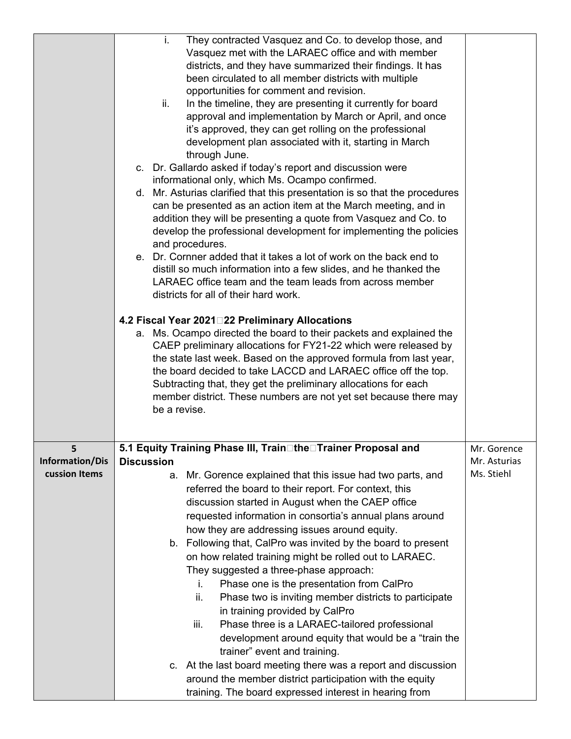|                 | i.<br>They contracted Vasquez and Co. to develop those, and<br>Vasquez met with the LARAEC office and with member<br>districts, and they have summarized their findings. It has<br>been circulated to all member districts with multiple<br>opportunities for comment and revision.<br>ii.<br>In the timeline, they are presenting it currently for board<br>approval and implementation by March or April, and once<br>it's approved, they can get rolling on the professional<br>development plan associated with it, starting in March<br>through June.<br>c. Dr. Gallardo asked if today's report and discussion were<br>informational only, which Ms. Ocampo confirmed.<br>d. Mr. Asturias clarified that this presentation is so that the procedures<br>can be presented as an action item at the March meeting, and in<br>addition they will be presenting a quote from Vasquez and Co. to<br>develop the professional development for implementing the policies<br>and procedures.<br>e. Dr. Cornner added that it takes a lot of work on the back end to<br>distill so much information into a few slides, and he thanked the<br>LARAEC office team and the team leads from across member<br>districts for all of their hard work.<br>4.2 Fiscal Year 2021 22 Preliminary Allocations<br>a. Ms. Ocampo directed the board to their packets and explained the<br>CAEP preliminary allocations for FY21-22 which were released by<br>the state last week. Based on the approved formula from last year,<br>the board decided to take LACCD and LARAEC office off the top.<br>Subtracting that, they get the preliminary allocations for each<br>member district. These numbers are not yet set because there may<br>be a revise. |              |
|-----------------|-----------------------------------------------------------------------------------------------------------------------------------------------------------------------------------------------------------------------------------------------------------------------------------------------------------------------------------------------------------------------------------------------------------------------------------------------------------------------------------------------------------------------------------------------------------------------------------------------------------------------------------------------------------------------------------------------------------------------------------------------------------------------------------------------------------------------------------------------------------------------------------------------------------------------------------------------------------------------------------------------------------------------------------------------------------------------------------------------------------------------------------------------------------------------------------------------------------------------------------------------------------------------------------------------------------------------------------------------------------------------------------------------------------------------------------------------------------------------------------------------------------------------------------------------------------------------------------------------------------------------------------------------------------------------------------------------------------------------------------------|--------------|
| 5               | 5.1 Equity Training Phase III, Train□the□Trainer Proposal and                                                                                                                                                                                                                                                                                                                                                                                                                                                                                                                                                                                                                                                                                                                                                                                                                                                                                                                                                                                                                                                                                                                                                                                                                                                                                                                                                                                                                                                                                                                                                                                                                                                                           | Mr. Gorence  |
| Information/Dis | <b>Discussion</b>                                                                                                                                                                                                                                                                                                                                                                                                                                                                                                                                                                                                                                                                                                                                                                                                                                                                                                                                                                                                                                                                                                                                                                                                                                                                                                                                                                                                                                                                                                                                                                                                                                                                                                                       | Mr. Asturias |
| cussion Items   | Mr. Gorence explained that this issue had two parts, and<br>а.<br>referred the board to their report. For context, this<br>discussion started in August when the CAEP office<br>requested information in consortia's annual plans around<br>how they are addressing issues around equity.<br>b. Following that, CalPro was invited by the board to present<br>on how related training might be rolled out to LARAEC.<br>They suggested a three-phase approach:<br>Phase one is the presentation from CalPro<br>i.<br>Phase two is inviting member districts to participate<br>ii.<br>in training provided by CalPro<br>Phase three is a LARAEC-tailored professional<br>iii.<br>development around equity that would be a "train the<br>trainer" event and training.<br>c. At the last board meeting there was a report and discussion<br>around the member district participation with the equity<br>training. The board expressed interest in hearing from                                                                                                                                                                                                                                                                                                                                                                                                                                                                                                                                                                                                                                                                                                                                                                            | Ms. Stiehl   |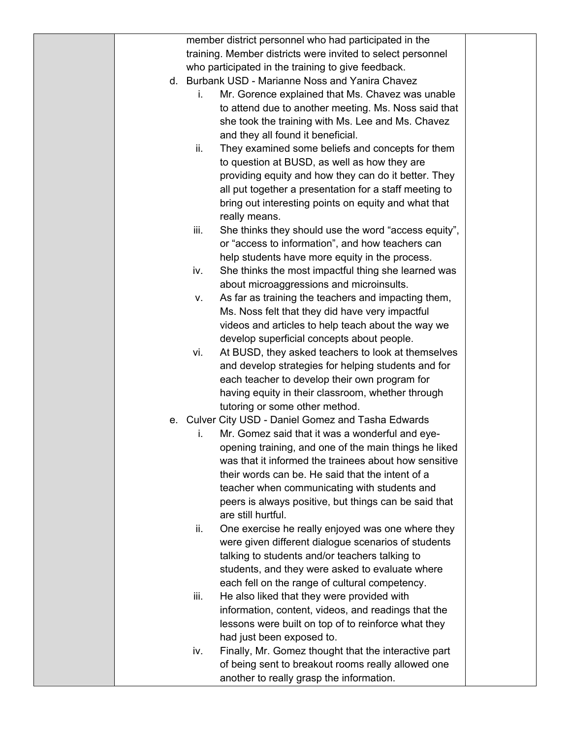|  |      | member district personnel who had participated in the       |  |
|--|------|-------------------------------------------------------------|--|
|  |      | training. Member districts were invited to select personnel |  |
|  |      | who participated in the training to give feedback.          |  |
|  |      | d. Burbank USD - Marianne Noss and Yanira Chavez            |  |
|  | İ.   | Mr. Gorence explained that Ms. Chavez was unable            |  |
|  |      | to attend due to another meeting. Ms. Noss said that        |  |
|  |      | she took the training with Ms. Lee and Ms. Chavez           |  |
|  |      | and they all found it beneficial.                           |  |
|  | ii.  | They examined some beliefs and concepts for them            |  |
|  |      | to question at BUSD, as well as how they are                |  |
|  |      | providing equity and how they can do it better. They        |  |
|  |      | all put together a presentation for a staff meeting to      |  |
|  |      |                                                             |  |
|  |      | bring out interesting points on equity and what that        |  |
|  |      | really means.                                               |  |
|  | iii. | She thinks they should use the word "access equity",        |  |
|  |      | or "access to information", and how teachers can            |  |
|  |      | help students have more equity in the process.              |  |
|  | iv.  | She thinks the most impactful thing she learned was         |  |
|  |      | about microaggressions and microinsults.                    |  |
|  | V.   | As far as training the teachers and impacting them,         |  |
|  |      | Ms. Noss felt that they did have very impactful             |  |
|  |      | videos and articles to help teach about the way we          |  |
|  |      | develop superficial concepts about people.                  |  |
|  | vi.  | At BUSD, they asked teachers to look at themselves          |  |
|  |      | and develop strategies for helping students and for         |  |
|  |      | each teacher to develop their own program for               |  |
|  |      | having equity in their classroom, whether through           |  |
|  |      | tutoring or some other method.                              |  |
|  |      | e. Culver City USD - Daniel Gomez and Tasha Edwards         |  |
|  | i.   | Mr. Gomez said that it was a wonderful and eye-             |  |
|  |      | opening training, and one of the main things he liked       |  |
|  |      | was that it informed the trainees about how sensitive       |  |
|  |      | their words can be. He said that the intent of a            |  |
|  |      | teacher when communicating with students and                |  |
|  |      | peers is always positive, but things can be said that       |  |
|  |      | are still hurtful.                                          |  |
|  | ii.  | One exercise he really enjoyed was one where they           |  |
|  |      | were given different dialogue scenarios of students         |  |
|  |      | talking to students and/or teachers talking to              |  |
|  |      | students, and they were asked to evaluate where             |  |
|  |      | each fell on the range of cultural competency.              |  |
|  | iii. | He also liked that they were provided with                  |  |
|  |      | information, content, videos, and readings that the         |  |
|  |      | lessons were built on top of to reinforce what they         |  |
|  |      | had just been exposed to.                                   |  |
|  | iv.  | Finally, Mr. Gomez thought that the interactive part        |  |
|  |      | of being sent to breakout rooms really allowed one          |  |
|  |      | another to really grasp the information.                    |  |
|  |      |                                                             |  |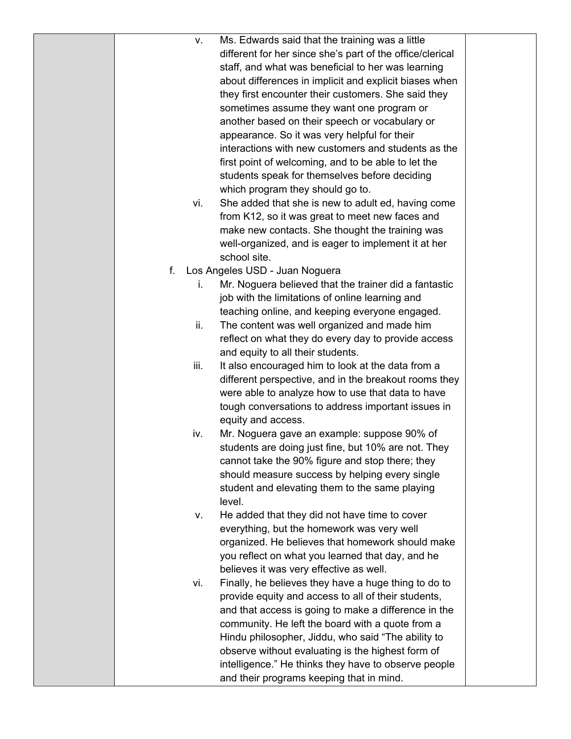| ν.   | Ms. Edwards said that the training was a little           |  |
|------|-----------------------------------------------------------|--|
|      | different for her since she's part of the office/clerical |  |
|      | staff, and what was beneficial to her was learning        |  |
|      | about differences in implicit and explicit biases when    |  |
|      | they first encounter their customers. She said they       |  |
|      | sometimes assume they want one program or                 |  |
|      | another based on their speech or vocabulary or            |  |
|      | appearance. So it was very helpful for their              |  |
|      | interactions with new customers and students as the       |  |
|      | first point of welcoming, and to be able to let the       |  |
|      | students speak for themselves before deciding             |  |
|      | which program they should go to.                          |  |
| vi.  | She added that she is new to adult ed, having come        |  |
|      | from K12, so it was great to meet new faces and           |  |
|      | make new contacts. She thought the training was           |  |
|      | well-organized, and is eager to implement it at her       |  |
|      | school site.                                              |  |
| f.   | Los Angeles USD - Juan Noguera                            |  |
| İ.   | Mr. Noguera believed that the trainer did a fantastic     |  |
|      | job with the limitations of online learning and           |  |
|      | teaching online, and keeping everyone engaged.            |  |
| ii.  | The content was well organized and made him               |  |
|      | reflect on what they do every day to provide access       |  |
|      | and equity to all their students.                         |  |
| iii. | It also encouraged him to look at the data from a         |  |
|      | different perspective, and in the breakout rooms they     |  |
|      | were able to analyze how to use that data to have         |  |
|      | tough conversations to address important issues in        |  |
|      | equity and access.                                        |  |
| iv.  | Mr. Noguera gave an example: suppose 90% of               |  |
|      | students are doing just fine, but 10% are not. They       |  |
|      | cannot take the 90% figure and stop there; they           |  |
|      | should measure success by helping every single            |  |
|      | student and elevating them to the same playing            |  |
|      | level.                                                    |  |
| ν.   | He added that they did not have time to cover             |  |
|      | everything, but the homework was very well                |  |
|      | organized. He believes that homework should make          |  |
|      | you reflect on what you learned that day, and he          |  |
|      | believes it was very effective as well.                   |  |
| vi.  | Finally, he believes they have a huge thing to do to      |  |
|      | provide equity and access to all of their students,       |  |
|      | and that access is going to make a difference in the      |  |
|      | community. He left the board with a quote from a          |  |
|      | Hindu philosopher, Jiddu, who said "The ability to        |  |
|      | observe without evaluating is the highest form of         |  |
|      | intelligence." He thinks they have to observe people      |  |
|      | and their programs keeping that in mind.                  |  |
|      |                                                           |  |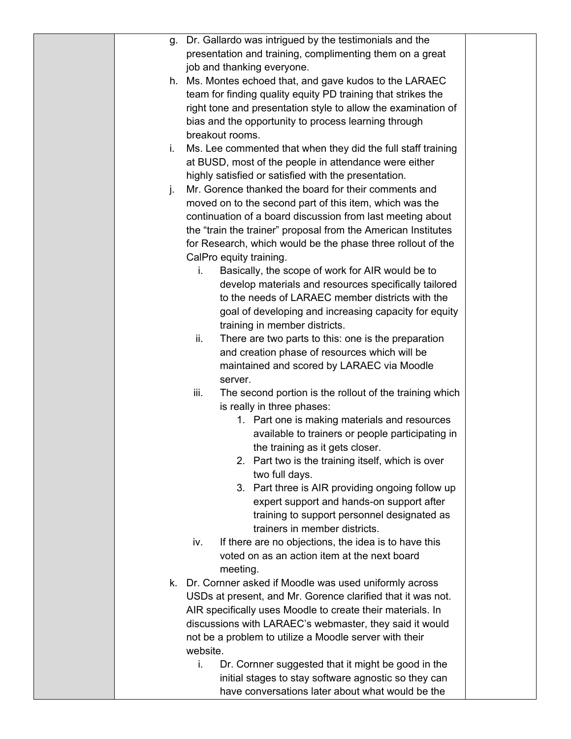| q. | Dr. Gallardo was intrigued by the testimonials and the          |  |
|----|-----------------------------------------------------------------|--|
|    | presentation and training, complimenting them on a great        |  |
|    | job and thanking everyone.                                      |  |
|    | h. Ms. Montes echoed that, and gave kudos to the LARAEC         |  |
|    | team for finding quality equity PD training that strikes the    |  |
|    | right tone and presentation style to allow the examination of   |  |
|    | bias and the opportunity to process learning through            |  |
|    | breakout rooms.                                                 |  |
| i. | Ms. Lee commented that when they did the full staff training    |  |
|    | at BUSD, most of the people in attendance were either           |  |
|    | highly satisfied or satisfied with the presentation.            |  |
| j. | Mr. Gorence thanked the board for their comments and            |  |
|    | moved on to the second part of this item, which was the         |  |
|    | continuation of a board discussion from last meeting about      |  |
|    | the "train the trainer" proposal from the American Institutes   |  |
|    | for Research, which would be the phase three rollout of the     |  |
|    | CalPro equity training.                                         |  |
|    | Basically, the scope of work for AIR would be to<br>i.          |  |
|    | develop materials and resources specifically tailored           |  |
|    | to the needs of LARAEC member districts with the                |  |
|    | goal of developing and increasing capacity for equity           |  |
|    | training in member districts.                                   |  |
|    | ii.<br>There are two parts to this: one is the preparation      |  |
|    | and creation phase of resources which will be                   |  |
|    | maintained and scored by LARAEC via Moodle                      |  |
|    | server.                                                         |  |
|    | iii.<br>The second portion is the rollout of the training which |  |
|    | is really in three phases:                                      |  |
|    | 1. Part one is making materials and resources                   |  |
|    | available to trainers or people participating in                |  |
|    | the training as it gets closer.                                 |  |
|    | 2. Part two is the training itself, which is over               |  |
|    | two full days.                                                  |  |
|    | 3. Part three is AIR providing ongoing follow up                |  |
|    | expert support and hands-on support after                       |  |
|    | training to support personnel designated as                     |  |
|    | trainers in member districts.                                   |  |
|    | If there are no objections, the idea is to have this<br>iv.     |  |
|    | voted on as an action item at the next board                    |  |
|    | meeting.                                                        |  |
|    | k. Dr. Cornner asked if Moodle was used uniformly across        |  |
|    | USDs at present, and Mr. Gorence clarified that it was not.     |  |
|    | AIR specifically uses Moodle to create their materials. In      |  |
|    | discussions with LARAEC's webmaster, they said it would         |  |
|    | not be a problem to utilize a Moodle server with their          |  |
|    | website.                                                        |  |
|    | i.<br>Dr. Cornner suggested that it might be good in the        |  |
|    | initial stages to stay software agnostic so they can            |  |
|    | have conversations later about what would be the                |  |
|    |                                                                 |  |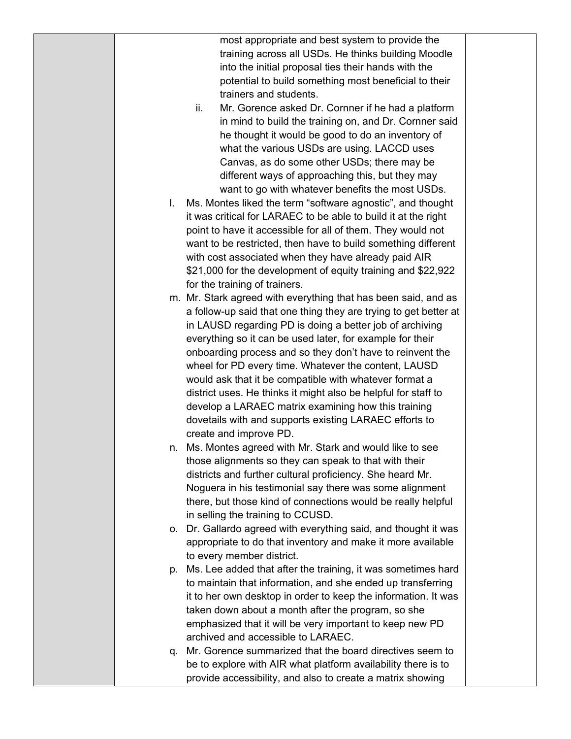most appropriate and best system to provide the training across all USDs. He thinks building Moodle into the initial proposal ties their hands with the potential to build something most beneficial to their trainers and students.

- ii. Mr. Gorence asked Dr. Cornner if he had a platform in mind to build the training on, and Dr. Cornner said he thought it would be good to do an inventory of what the various USDs are using. LACCD uses Canvas, as do some other USDs; there may be different ways of approaching this, but they may want to go with whatever benefits the most USDs.
- l. Ms. Montes liked the term "software agnostic", and thought it was critical for LARAEC to be able to build it at the right point to have it accessible for all of them. They would not want to be restricted, then have to build something different with cost associated when they have already paid AIR \$21,000 for the development of equity training and \$22,922 for the training of trainers.
- m. Mr. Stark agreed with everything that has been said, and as a follow-up said that one thing they are trying to get better at in LAUSD regarding PD is doing a better job of archiving everything so it can be used later, for example for their onboarding process and so they don't have to reinvent the wheel for PD every time. Whatever the content, LAUSD would ask that it be compatible with whatever format a district uses. He thinks it might also be helpful for staff to develop a LARAEC matrix examining how this training dovetails with and supports existing LARAEC efforts to create and improve PD.
- n. Ms. Montes agreed with Mr. Stark and would like to see those alignments so they can speak to that with their districts and further cultural proficiency. She heard Mr. Noguera in his testimonial say there was some alignment there, but those kind of connections would be really helpful in selling the training to CCUSD.
- o. Dr. Gallardo agreed with everything said, and thought it was appropriate to do that inventory and make it more available to every member district.
- p. Ms. Lee added that after the training, it was sometimes hard to maintain that information, and she ended up transferring it to her own desktop in order to keep the information. It was taken down about a month after the program, so she emphasized that it will be very important to keep new PD archived and accessible to LARAEC.
- q. Mr. Gorence summarized that the board directives seem to be to explore with AIR what platform availability there is to provide accessibility, and also to create a matrix showing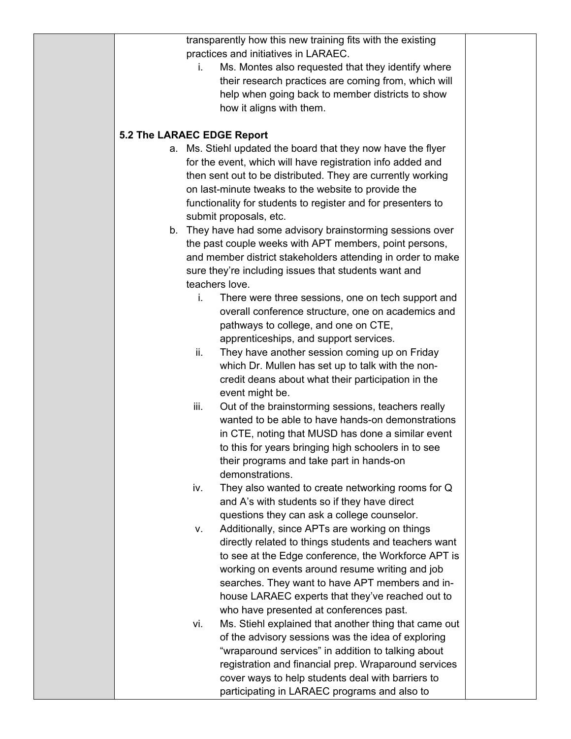transparently how this new training fits with the existing practices and initiatives in LARAEC.

i. Ms. Montes also requested that they identify where their research practices are coming from, which will help when going back to member districts to show how it aligns with them.

## **5.2 The LARAEC EDGE Report**

- a. Ms. Stiehl updated the board that they now have the flyer for the event, which will have registration info added and then sent out to be distributed. They are currently working on last-minute tweaks to the website to provide the functionality for students to register and for presenters to submit proposals, etc.
- b. They have had some advisory brainstorming sessions over the past couple weeks with APT members, point persons, and member district stakeholders attending in order to make sure they're including issues that students want and teachers love.
	- i. There were three sessions, one on tech support and overall conference structure, one on academics and pathways to college, and one on CTE, apprenticeships, and support services.
	- ii. They have another session coming up on Friday which Dr. Mullen has set up to talk with the noncredit deans about what their participation in the event might be.
	- iii. Out of the brainstorming sessions, teachers really wanted to be able to have hands-on demonstrations in CTE, noting that MUSD has done a similar event to this for years bringing high schoolers in to see their programs and take part in hands-on demonstrations.
	- iv. They also wanted to create networking rooms for Q and A's with students so if they have direct questions they can ask a college counselor.
	- v. Additionally, since APTs are working on things directly related to things students and teachers want to see at the Edge conference, the Workforce APT is working on events around resume writing and job searches. They want to have APT members and inhouse LARAEC experts that they've reached out to who have presented at conferences past.
	- vi. Ms. Stiehl explained that another thing that came out of the advisory sessions was the idea of exploring "wraparound services" in addition to talking about registration and financial prep. Wraparound services cover ways to help students deal with barriers to participating in LARAEC programs and also to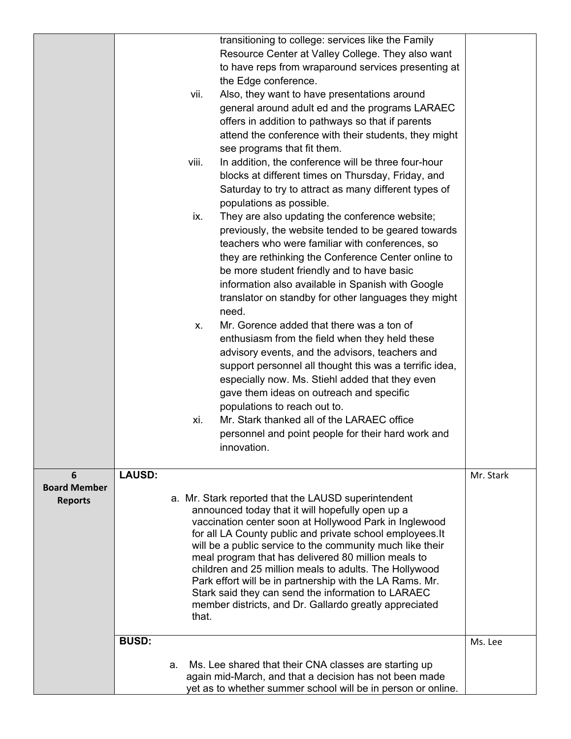|                     |               |    |       | transitioning to college: services like the Family                                                               |           |
|---------------------|---------------|----|-------|------------------------------------------------------------------------------------------------------------------|-----------|
|                     |               |    |       | Resource Center at Valley College. They also want                                                                |           |
|                     |               |    |       | to have reps from wraparound services presenting at                                                              |           |
|                     |               |    |       | the Edge conference.                                                                                             |           |
|                     |               |    | vii.  | Also, they want to have presentations around                                                                     |           |
|                     |               |    |       | general around adult ed and the programs LARAEC                                                                  |           |
|                     |               |    |       | offers in addition to pathways so that if parents                                                                |           |
|                     |               |    |       | attend the conference with their students, they might                                                            |           |
|                     |               |    |       | see programs that fit them.                                                                                      |           |
|                     |               |    | viii. | In addition, the conference will be three four-hour                                                              |           |
|                     |               |    |       | blocks at different times on Thursday, Friday, and                                                               |           |
|                     |               |    |       | Saturday to try to attract as many different types of                                                            |           |
|                     |               |    |       | populations as possible.                                                                                         |           |
|                     |               |    | ix.   | They are also updating the conference website;                                                                   |           |
|                     |               |    |       | previously, the website tended to be geared towards                                                              |           |
|                     |               |    |       | teachers who were familiar with conferences, so                                                                  |           |
|                     |               |    |       | they are rethinking the Conference Center online to                                                              |           |
|                     |               |    |       | be more student friendly and to have basic                                                                       |           |
|                     |               |    |       | information also available in Spanish with Google                                                                |           |
|                     |               |    |       | translator on standby for other languages they might                                                             |           |
|                     |               |    |       | need.                                                                                                            |           |
|                     |               |    | Х.    | Mr. Gorence added that there was a ton of                                                                        |           |
|                     |               |    |       | enthusiasm from the field when they held these                                                                   |           |
|                     |               |    |       | advisory events, and the advisors, teachers and                                                                  |           |
|                     |               |    |       | support personnel all thought this was a terrific idea,                                                          |           |
|                     |               |    |       | especially now. Ms. Stiehl added that they even                                                                  |           |
|                     |               |    |       | gave them ideas on outreach and specific                                                                         |           |
|                     |               |    |       | populations to reach out to.                                                                                     |           |
|                     |               |    | xi.   | Mr. Stark thanked all of the LARAEC office                                                                       |           |
|                     |               |    |       | personnel and point people for their hard work and                                                               |           |
|                     |               |    |       | innovation.                                                                                                      |           |
|                     |               |    |       |                                                                                                                  |           |
| 6                   | <b>LAUSD:</b> |    |       |                                                                                                                  | Mr. Stark |
| <b>Board Member</b> |               |    |       |                                                                                                                  |           |
| <b>Reports</b>      |               |    |       | a. Mr. Stark reported that the LAUSD superintendent                                                              |           |
|                     |               |    |       | announced today that it will hopefully open up a                                                                 |           |
|                     |               |    |       | vaccination center soon at Hollywood Park in Inglewood                                                           |           |
|                     |               |    |       | for all LA County public and private school employees. It                                                        |           |
|                     |               |    |       | will be a public service to the community much like their<br>meal program that has delivered 80 million meals to |           |
|                     |               |    |       | children and 25 million meals to adults. The Hollywood                                                           |           |
|                     |               |    |       | Park effort will be in partnership with the LA Rams. Mr.                                                         |           |
|                     |               |    |       | Stark said they can send the information to LARAEC                                                               |           |
|                     |               |    |       | member districts, and Dr. Gallardo greatly appreciated                                                           |           |
|                     |               |    | that. |                                                                                                                  |           |
|                     |               |    |       |                                                                                                                  |           |
|                     | <b>BUSD:</b>  |    |       |                                                                                                                  | Ms. Lee   |
|                     |               | а. |       | Ms. Lee shared that their CNA classes are starting up                                                            |           |
|                     |               |    |       | again mid-March, and that a decision has not been made                                                           |           |
|                     |               |    |       | yet as to whether summer school will be in person or online.                                                     |           |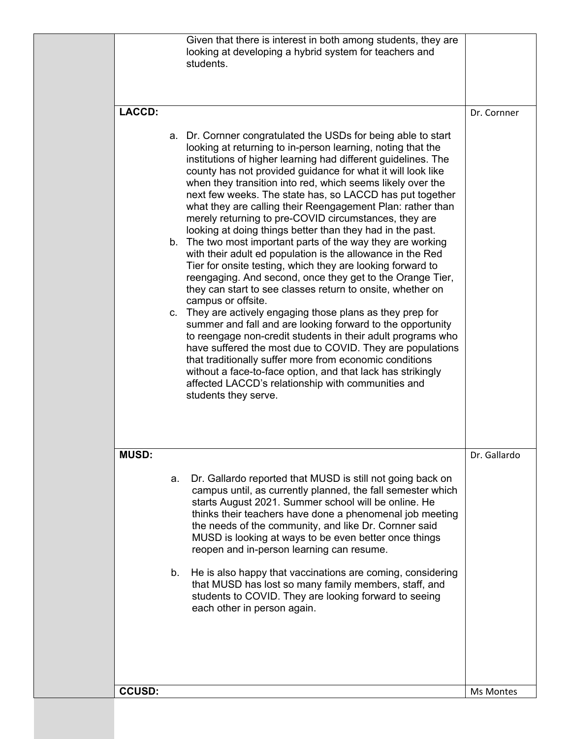|               | Given that there is interest in both among students, they are<br>looking at developing a hybrid system for teachers and<br>students.                                                                                                                                                                                                                                                                                                                                                                                                                                                                                                                                                                                                                                                                                                                                  |              |
|---------------|-----------------------------------------------------------------------------------------------------------------------------------------------------------------------------------------------------------------------------------------------------------------------------------------------------------------------------------------------------------------------------------------------------------------------------------------------------------------------------------------------------------------------------------------------------------------------------------------------------------------------------------------------------------------------------------------------------------------------------------------------------------------------------------------------------------------------------------------------------------------------|--------------|
| <b>LACCD:</b> | a. Dr. Cornner congratulated the USDs for being able to start<br>looking at returning to in-person learning, noting that the<br>institutions of higher learning had different guidelines. The<br>county has not provided guidance for what it will look like<br>when they transition into red, which seems likely over the<br>next few weeks. The state has, so LACCD has put together<br>what they are calling their Reengagement Plan: rather than<br>merely returning to pre-COVID circumstances, they are                                                                                                                                                                                                                                                                                                                                                         | Dr. Cornner  |
|               | looking at doing things better than they had in the past.<br>b. The two most important parts of the way they are working<br>with their adult ed population is the allowance in the Red<br>Tier for onsite testing, which they are looking forward to<br>reengaging. And second, once they get to the Orange Tier,<br>they can start to see classes return to onsite, whether on<br>campus or offsite.<br>c. They are actively engaging those plans as they prep for<br>summer and fall and are looking forward to the opportunity<br>to reengage non-credit students in their adult programs who<br>have suffered the most due to COVID. They are populations<br>that traditionally suffer more from economic conditions<br>without a face-to-face option, and that lack has strikingly<br>affected LACCD's relationship with communities and<br>students they serve. |              |
| <b>MUSD:</b>  | Dr. Gallardo reported that MUSD is still not going back on<br>a.<br>campus until, as currently planned, the fall semester which<br>starts August 2021. Summer school will be online. He<br>thinks their teachers have done a phenomenal job meeting<br>the needs of the community, and like Dr. Cornner said<br>MUSD is looking at ways to be even better once things<br>reopen and in-person learning can resume.<br>He is also happy that vaccinations are coming, considering<br>b.<br>that MUSD has lost so many family members, staff, and<br>students to COVID. They are looking forward to seeing<br>each other in person again.                                                                                                                                                                                                                               | Dr. Gallardo |
| <b>CCUSD:</b> |                                                                                                                                                                                                                                                                                                                                                                                                                                                                                                                                                                                                                                                                                                                                                                                                                                                                       | Ms Montes    |